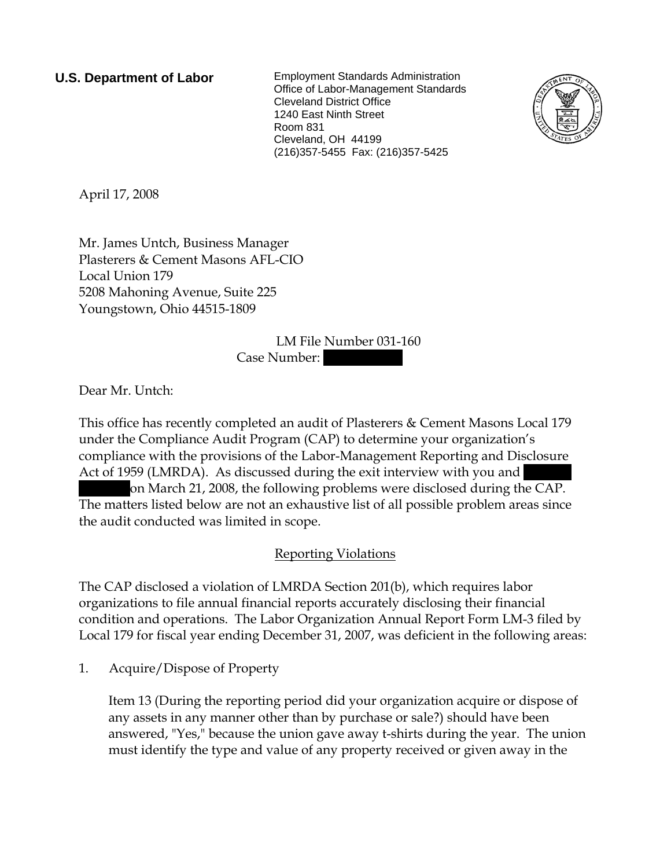**U.S. Department of Labor** Employment Standards Administration Office of Labor-Management Standards Cleveland District Office 1240 East Ninth Street Room 831 Cleveland, OH 44199 (216)357-5455 Fax: (216)357-5425



April 17, 2008

Mr. James Untch, Business Manager Plasterers & Cement Masons AFL-CIO Local Union 179 5208 Mahoning Avenue, Suite 225 Youngstown, Ohio 44515-1809

> LM File Number 031-160 Case Number:

Dear Mr. Untch:

This office has recently completed an audit of Plasterers & Cement Masons Local 179 under the Compliance Audit Program (CAP) to determine your organization's compliance with the provisions of the Labor-Management Reporting and Disclosure Act of 1959 (LMRDA). As discussed during the exit interview with you and |||||| on March 21, 2008, the following problems were disclosed during the CAP. The matters listed below are not an exhaustive list of all possible problem areas since the audit conducted was limited in scope.

# Reporting Violations

The CAP disclosed a violation of LMRDA Section 201(b), which requires labor organizations to file annual financial reports accurately disclosing their financial condition and operations. The Labor Organization Annual Report Form LM-3 filed by Local 179 for fiscal year ending December 31, 2007, was deficient in the following areas:

1. Acquire/Dispose of Property

Item 13 (During the reporting period did your organization acquire or dispose of any assets in any manner other than by purchase or sale?) should have been answered, "Yes," because the union gave away t-shirts during the year. The union must identify the type and value of any property received or given away in the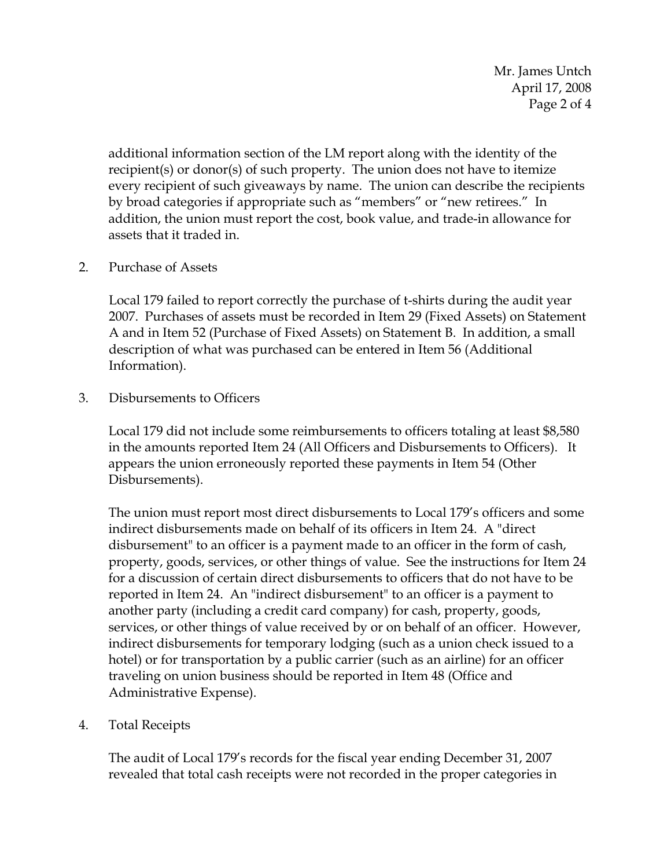Mr. James Untch April 17, 2008 Page 2 of 4

additional information section of the LM report along with the identity of the recipient(s) or donor(s) of such property. The union does not have to itemize every recipient of such giveaways by name. The union can describe the recipients by broad categories if appropriate such as "members" or "new retirees." In addition, the union must report the cost, book value, and trade-in allowance for assets that it traded in.

## 2. Purchase of Assets

Local 179 failed to report correctly the purchase of t-shirts during the audit year 2007. Purchases of assets must be recorded in Item 29 (Fixed Assets) on Statement A and in Item 52 (Purchase of Fixed Assets) on Statement B. In addition, a small description of what was purchased can be entered in Item 56 (Additional Information).

3. Disbursements to Officers

Local 179 did not include some reimbursements to officers totaling at least \$8,580 in the amounts reported Item 24 (All Officers and Disbursements to Officers). It appears the union erroneously reported these payments in Item 54 (Other Disbursements).

The union must report most direct disbursements to Local 179's officers and some indirect disbursements made on behalf of its officers in Item 24. A "direct disbursement" to an officer is a payment made to an officer in the form of cash, property, goods, services, or other things of value. See the instructions for Item 24 for a discussion of certain direct disbursements to officers that do not have to be reported in Item 24. An "indirect disbursement" to an officer is a payment to another party (including a credit card company) for cash, property, goods, services, or other things of value received by or on behalf of an officer. However, indirect disbursements for temporary lodging (such as a union check issued to a hotel) or for transportation by a public carrier (such as an airline) for an officer traveling on union business should be reported in Item 48 (Office and Administrative Expense).

4. Total Receipts

 The audit of Local 179's records for the fiscal year ending December 31, 2007 revealed that total cash receipts were not recorded in the proper categories in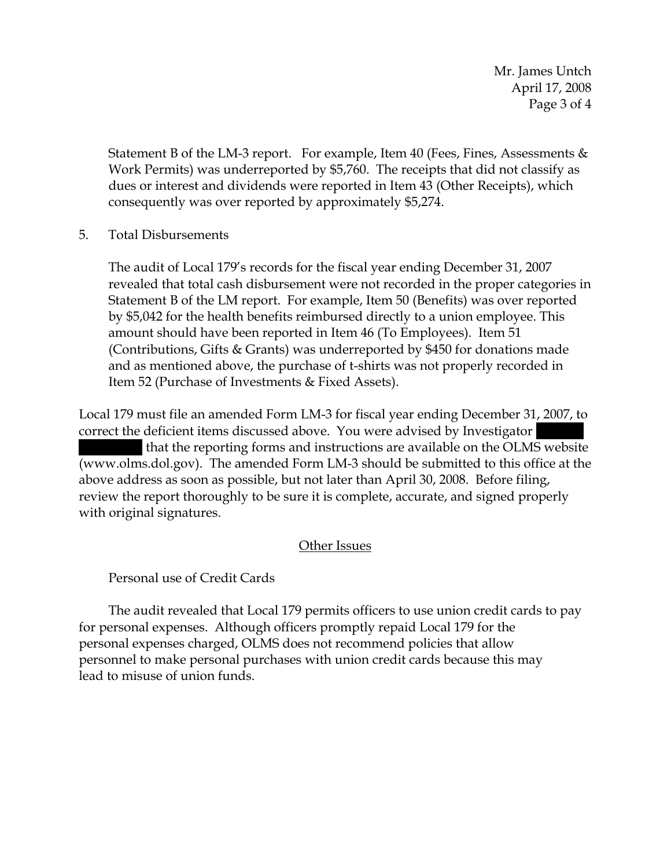Mr. James Untch April 17, 2008 Page 3 of 4

Statement B of the LM-3 report. For example, Item 40 (Fees, Fines, Assessments & Work Permits) was underreported by \$5,760. The receipts that did not classify as dues or interest and dividends were reported in Item 43 (Other Receipts), which consequently was over reported by approximately \$5,274.

## 5. Total Disbursements

The audit of Local 179's records for the fiscal year ending December 31, 2007 revealed that total cash disbursement were not recorded in the proper categories in Statement B of the LM report. For example, Item 50 (Benefits) was over reported by \$5,042 for the health benefits reimbursed directly to a union employee. This amount should have been reported in Item 46 (To Employees). Item 51 (Contributions, Gifts & Grants) was underreported by \$450 for donations made and as mentioned above, the purchase of t-shirts was not properly recorded in Item 52 (Purchase of Investments & Fixed Assets).

Local 179 must file an amended Form LM-3 for fiscal year ending December 31, 2007, to correct the deficient items discussed above. You were advised by Investigator |||||| |||||||| that the reporting forms and instructions are available on the OLMS website (www.olms.dol.gov). The amended Form LM-3 should be submitted to this office at the above address as soon as possible, but not later than April 30, 2008. Before filing, review the report thoroughly to be sure it is complete, accurate, and signed properly with original signatures.

## Other Issues

## Personal use of Credit Cards

 The audit revealed that Local 179 permits officers to use union credit cards to pay for personal expenses. Although officers promptly repaid Local 179 for the personal expenses charged, OLMS does not recommend policies that allow personnel to make personal purchases with union credit cards because this may lead to misuse of union funds.